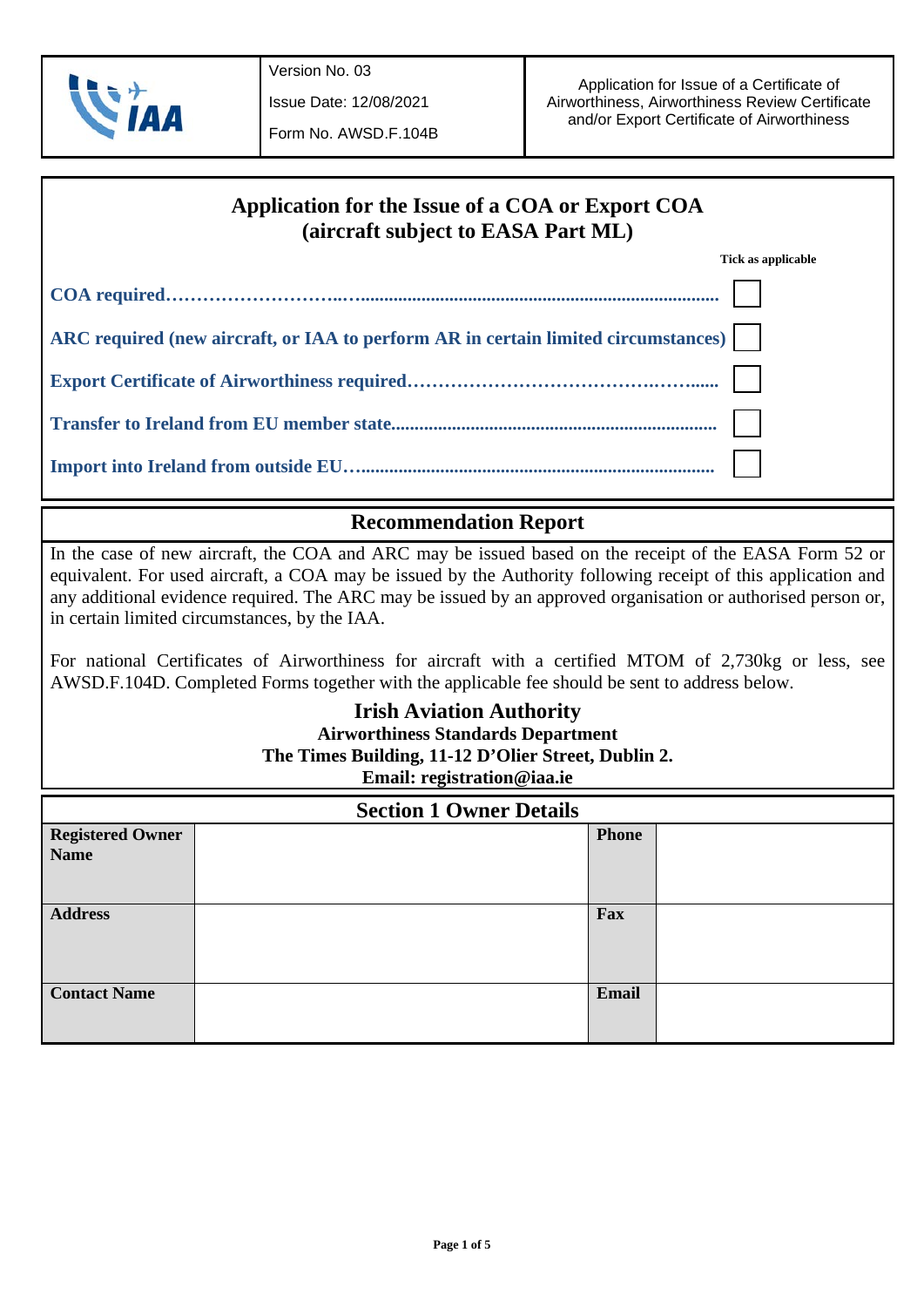

Issue Date: 12/08/2021

| Application for the Issue of a COA or Export COA<br>(aircraft subject to EASA Part ML) |                    |
|----------------------------------------------------------------------------------------|--------------------|
|                                                                                        | Tick as applicable |
|                                                                                        |                    |
| ARC required (new aircraft, or IAA to perform AR in certain limited circumstances)     |                    |
|                                                                                        |                    |
|                                                                                        |                    |
|                                                                                        |                    |

## **Recommendation Report**

In the case of new aircraft, the COA and ARC may be issued based on the receipt of the EASA Form 52 or equivalent. For used aircraft, a COA may be issued by the Authority following receipt of this application and any additional evidence required. The ARC may be issued by an approved organisation or authorised person or, in certain limited circumstances, by the IAA.

For national Certificates of Airworthiness for aircraft with a certified MTOM of 2,730kg or less, see AWSD.F.104D. Completed Forms together with the applicable fee should be sent to address below.

## **Irish Aviation Authority Airworthiness Standards Department The Times Building, 11-12 D'Olier Street, Dublin 2. Email: registration@iaa.ie**

|                                        | <b>Section 1 Owner Details</b> |              |  |
|----------------------------------------|--------------------------------|--------------|--|
| <b>Registered Owner</b><br><b>Name</b> |                                | <b>Phone</b> |  |
| <b>Address</b>                         |                                | Fax          |  |
| <b>Contact Name</b>                    |                                | Email        |  |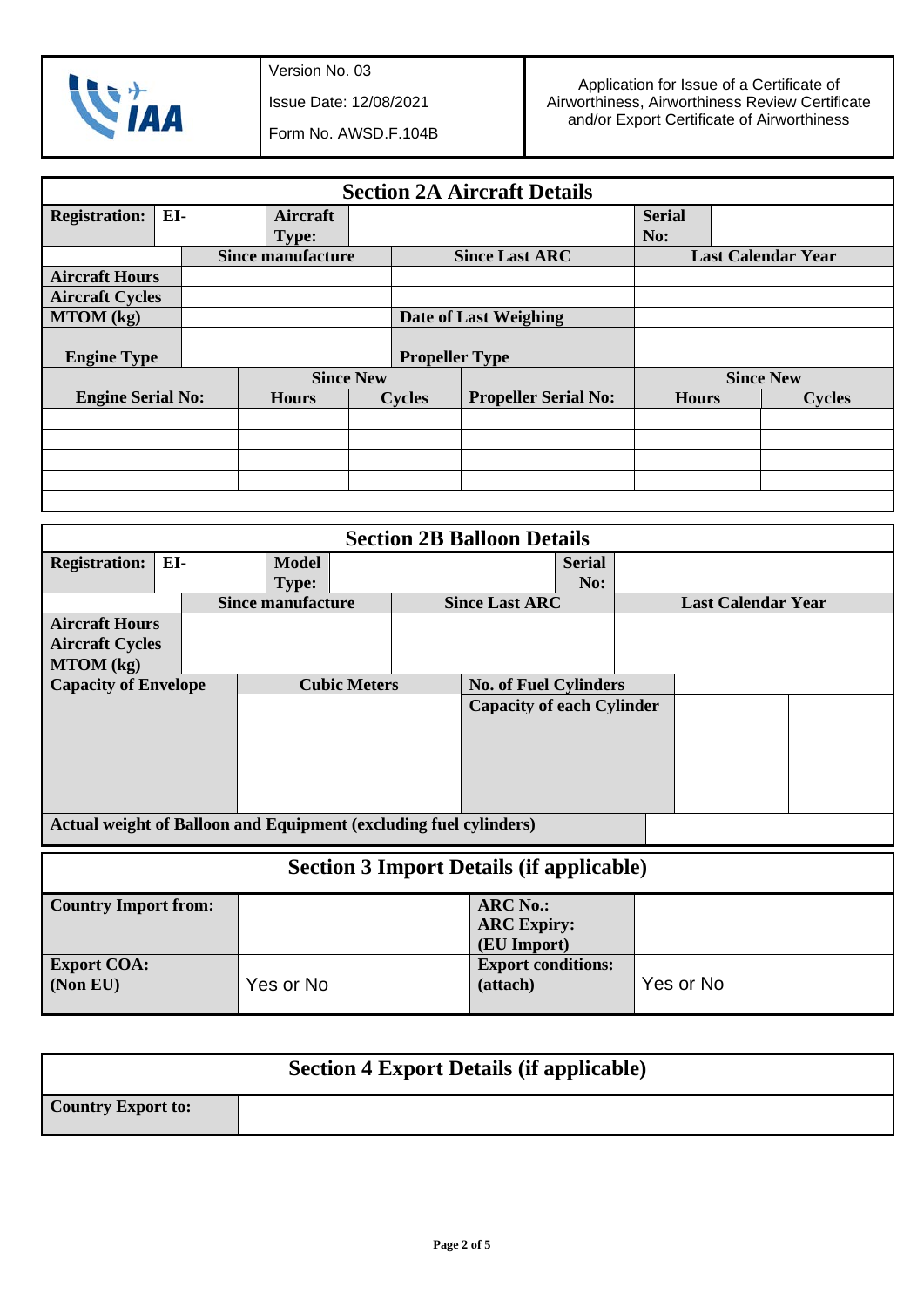

Version No. 03

Issue Date: 12/08/2021

Form No. AWSD.F.104B

| <b>Section 2A Aircraft Details</b> |     |                          |               |                       |                              |               |                           |               |
|------------------------------------|-----|--------------------------|---------------|-----------------------|------------------------------|---------------|---------------------------|---------------|
| <b>Registration:</b>               | EI- | <b>Aircraft</b>          |               |                       |                              | <b>Serial</b> |                           |               |
|                                    |     | <b>Type:</b>             |               |                       |                              | No:           |                           |               |
|                                    |     | <b>Since manufacture</b> |               | <b>Since Last ARC</b> |                              |               | <b>Last Calendar Year</b> |               |
| <b>Aircraft Hours</b>              |     |                          |               |                       |                              |               |                           |               |
| <b>Aircraft Cycles</b>             |     |                          |               |                       |                              |               |                           |               |
| $MTOM$ (kg)                        |     |                          |               |                       | <b>Date of Last Weighing</b> |               |                           |               |
|                                    |     |                          |               |                       |                              |               |                           |               |
| <b>Engine Type</b>                 |     |                          |               | <b>Propeller Type</b> |                              |               |                           |               |
|                                    |     | <b>Since New</b>         |               |                       | <b>Since New</b>             |               |                           |               |
| <b>Engine Serial No:</b>           |     | <b>Hours</b>             | <b>Cycles</b> |                       | <b>Propeller Serial No:</b>  | <b>Hours</b>  |                           | <b>Cycles</b> |
|                                    |     |                          |               |                       |                              |               |                           |               |
|                                    |     |                          |               |                       |                              |               |                           |               |
|                                    |     |                          |               |                       |                              |               |                           |               |
|                                    |     |                          |               |                       |                              |               |                           |               |
|                                    |     |                          |               |                       |                              |               |                           |               |

|                                                                          |                                                                                    |              |                          |  | <b>Section 2B Balloon Details</b> |               |                           |           |  |
|--------------------------------------------------------------------------|------------------------------------------------------------------------------------|--------------|--------------------------|--|-----------------------------------|---------------|---------------------------|-----------|--|
| <b>Registration:</b>                                                     | EI-                                                                                | <b>Model</b> |                          |  |                                   | <b>Serial</b> |                           |           |  |
|                                                                          |                                                                                    | <b>Type:</b> |                          |  |                                   | No:           |                           |           |  |
|                                                                          |                                                                                    |              | <b>Since manufacture</b> |  | <b>Since Last ARC</b>             |               | <b>Last Calendar Year</b> |           |  |
| <b>Aircraft Hours</b>                                                    |                                                                                    |              |                          |  |                                   |               |                           |           |  |
| <b>Aircraft Cycles</b>                                                   |                                                                                    |              |                          |  |                                   |               |                           |           |  |
| $MTOM$ (kg)                                                              |                                                                                    |              |                          |  |                                   |               |                           |           |  |
|                                                                          | <b>Capacity of Envelope</b><br><b>Cubic Meters</b><br><b>No. of Fuel Cylinders</b> |              |                          |  |                                   |               |                           |           |  |
|                                                                          |                                                                                    |              |                          |  | <b>Capacity of each Cylinder</b>  |               |                           |           |  |
|                                                                          |                                                                                    |              |                          |  |                                   |               |                           |           |  |
|                                                                          |                                                                                    |              |                          |  |                                   |               |                           |           |  |
|                                                                          |                                                                                    |              |                          |  |                                   |               |                           |           |  |
|                                                                          |                                                                                    |              |                          |  |                                   |               |                           |           |  |
|                                                                          |                                                                                    |              |                          |  |                                   |               |                           |           |  |
| <b>Actual weight of Balloon and Equipment (excluding fuel cylinders)</b> |                                                                                    |              |                          |  |                                   |               |                           |           |  |
|                                                                          |                                                                                    |              |                          |  |                                   |               |                           |           |  |
| <b>Section 3 Import Details (if applicable)</b>                          |                                                                                    |              |                          |  |                                   |               |                           |           |  |
| <b>Country Import from:</b>                                              |                                                                                    |              |                          |  | <b>ARC No.:</b>                   |               |                           |           |  |
|                                                                          |                                                                                    |              |                          |  | <b>ARC Expiry:</b>                |               |                           |           |  |
|                                                                          |                                                                                    |              |                          |  | (EU Import)                       |               |                           |           |  |
| <b>Export COA:</b>                                                       |                                                                                    |              |                          |  | <b>Export conditions:</b>         |               |                           |           |  |
| (Non EU)                                                                 |                                                                                    | Yes or No    |                          |  | (attach)                          |               |                           | Yes or No |  |

|                           | <b>Section 4 Export Details (if applicable)</b> |
|---------------------------|-------------------------------------------------|
| <b>Country Export to:</b> |                                                 |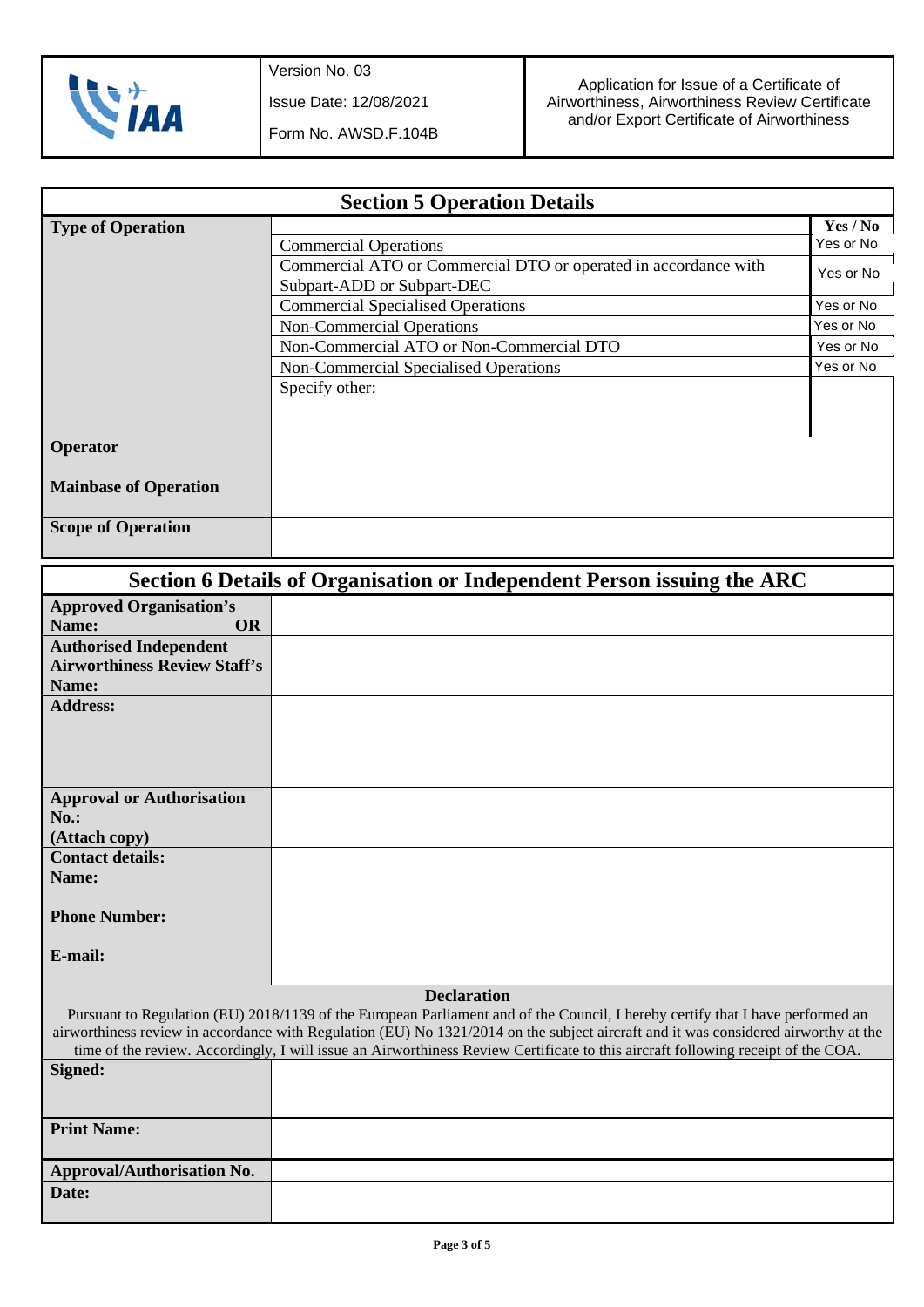

Issue Date: 12/08/2021

|                              | <b>Section 5 Operation Details</b>                              |           |
|------------------------------|-----------------------------------------------------------------|-----------|
| <b>Type of Operation</b>     |                                                                 | Yes / No  |
|                              | <b>Commercial Operations</b>                                    | Yes or No |
|                              | Commercial ATO or Commercial DTO or operated in accordance with | Yes or No |
|                              | Subpart-ADD or Subpart-DEC                                      |           |
|                              | <b>Commercial Specialised Operations</b>                        | Yes or No |
|                              | Non-Commercial Operations                                       | Yes or No |
|                              | Non-Commercial ATO or Non-Commercial DTO                        | Yes or No |
|                              | Non-Commercial Specialised Operations                           | Yes or No |
|                              | Specify other:                                                  |           |
|                              |                                                                 |           |
|                              |                                                                 |           |
| <b>Operator</b>              |                                                                 |           |
|                              |                                                                 |           |
| <b>Mainbase of Operation</b> |                                                                 |           |
|                              |                                                                 |           |
| <b>Scope of Operation</b>    |                                                                 |           |
|                              |                                                                 |           |

|                                     | Section 6 Details of Organisation or Independent Person issuing the ARC                                                             |
|-------------------------------------|-------------------------------------------------------------------------------------------------------------------------------------|
| <b>Approved Organisation's</b>      |                                                                                                                                     |
| Name:<br><b>OR</b>                  |                                                                                                                                     |
| <b>Authorised Independent</b>       |                                                                                                                                     |
| <b>Airworthiness Review Staff's</b> |                                                                                                                                     |
| Name:                               |                                                                                                                                     |
| <b>Address:</b>                     |                                                                                                                                     |
|                                     |                                                                                                                                     |
|                                     |                                                                                                                                     |
|                                     |                                                                                                                                     |
| <b>Approval or Authorisation</b>    |                                                                                                                                     |
| $No.$ :                             |                                                                                                                                     |
| (Attach copy)                       |                                                                                                                                     |
| <b>Contact details:</b>             |                                                                                                                                     |
| Name:                               |                                                                                                                                     |
|                                     |                                                                                                                                     |
| <b>Phone Number:</b>                |                                                                                                                                     |
|                                     |                                                                                                                                     |
| E-mail:                             |                                                                                                                                     |
|                                     | <b>Declaration</b>                                                                                                                  |
|                                     | Pursuant to Regulation (EU) 2018/1139 of the European Parliament and of the Council, I hereby certify that I have performed an      |
|                                     | airworthiness review in accordance with Regulation (EU) No 1321/2014 on the subject aircraft and it was considered airworthy at the |
|                                     | time of the review. Accordingly, I will issue an Airworthiness Review Certificate to this aircraft following receipt of the COA.    |
| Signed:                             |                                                                                                                                     |
|                                     |                                                                                                                                     |
|                                     |                                                                                                                                     |
| <b>Print Name:</b>                  |                                                                                                                                     |
| Approval/Authorisation No.          |                                                                                                                                     |
| Date:                               |                                                                                                                                     |
|                                     |                                                                                                                                     |
|                                     |                                                                                                                                     |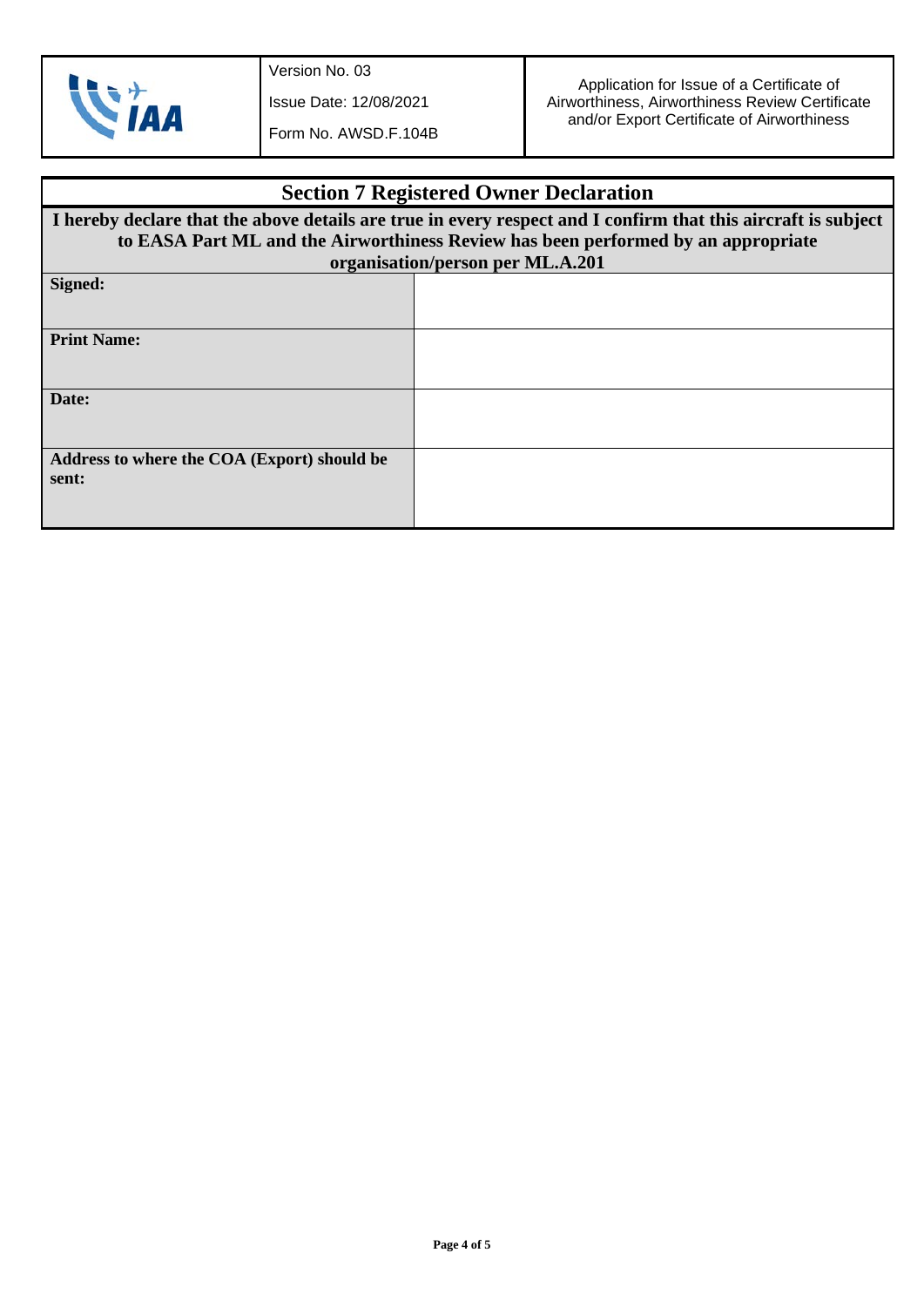

Issue Date: 12/08/2021

Form No. AWSD.F.104B

## **Section 7 Registered Owner Declaration I hereby declare that the above details are true in every respect and I confirm that this aircraft is subject to EASA Part ML and the Airworthiness Review has been performed by an appropriate organisation/person per ML.A.201 Signed: Print Name: Date: Address to where the COA (Export) should be sent:**